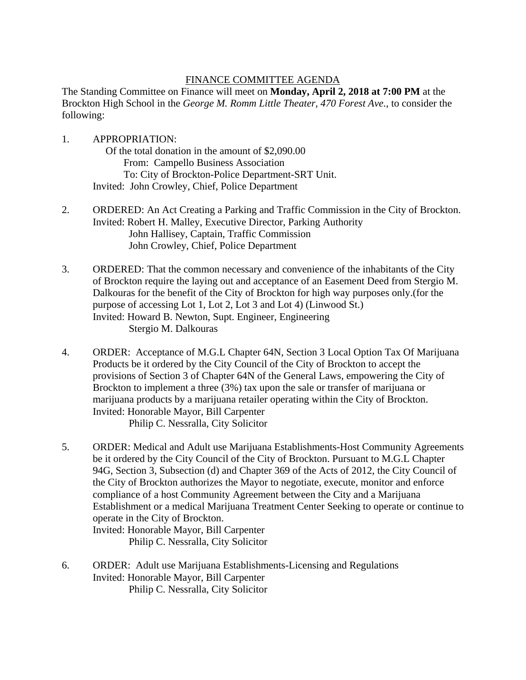## FINANCE COMMITTEE AGENDA

The Standing Committee on Finance will meet on **Monday, April 2, 2018 at 7:00 PM** at the Brockton High School in the *George M. Romm Little Theater, 470 Forest Ave.*, to consider the following:

1. APPROPRIATION: Of the total donation in the amount of \$2,090.00 From: Campello Business Association To: City of Brockton-Police Department-SRT Unit. Invited: John Crowley, Chief, Police Department

- 2. ORDERED: An Act Creating a Parking and Traffic Commission in the City of Brockton. Invited: Robert H. Malley, Executive Director, Parking Authority John Hallisey, Captain, Traffic Commission John Crowley, Chief, Police Department
- 3. ORDERED: That the common necessary and convenience of the inhabitants of the City of Brockton require the laying out and acceptance of an Easement Deed from Stergio M. Dalkouras for the benefit of the City of Brockton for high way purposes only.(for the purpose of accessing Lot 1, Lot 2, Lot 3 and Lot 4) (Linwood St.) Invited: Howard B. Newton, Supt. Engineer, Engineering Stergio M. Dalkouras
- 4. ORDER: Acceptance of M.G.L Chapter 64N, Section 3 Local Option Tax Of Marijuana Products be it ordered by the City Council of the City of Brockton to accept the provisions of Section 3 of Chapter 64N of the General Laws, empowering the City of Brockton to implement a three (3%) tax upon the sale or transfer of marijuana or marijuana products by a marijuana retailer operating within the City of Brockton. Invited: Honorable Mayor, Bill Carpenter Philip C. Nessralla, City Solicitor
- 5. ORDER: Medical and Adult use Marijuana Establishments-Host Community Agreements be it ordered by the City Council of the City of Brockton. Pursuant to M.G.L Chapter 94G, Section 3, Subsection (d) and Chapter 369 of the Acts of 2012, the City Council of the City of Brockton authorizes the Mayor to negotiate, execute, monitor and enforce compliance of a host Community Agreement between the City and a Marijuana Establishment or a medical Marijuana Treatment Center Seeking to operate or continue to operate in the City of Brockton.

Invited: Honorable Mayor, Bill Carpenter Philip C. Nessralla, City Solicitor

6. ORDER: Adult use Marijuana Establishments-Licensing and Regulations Invited: Honorable Mayor, Bill Carpenter Philip C. Nessralla, City Solicitor